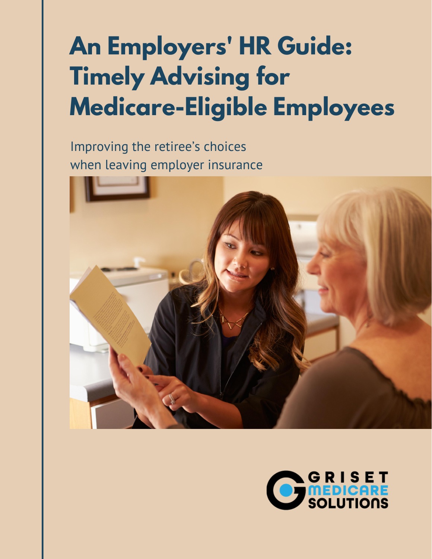# **An Employers' HR Guide: Timely Advising for Medicare-Eligible Employees**

Improving the retiree's choices when leaving employer insurance



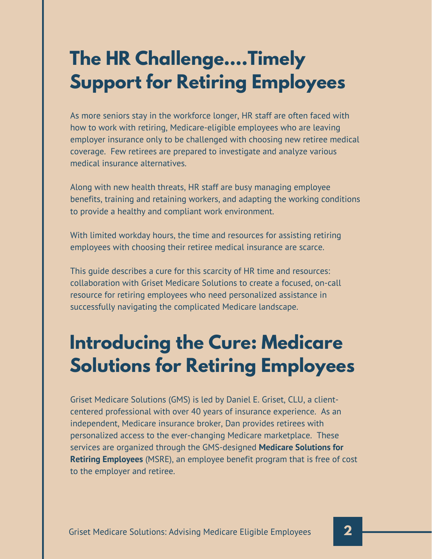# **The HR Challenge….Timely Support for Retiring Employees**

As more seniors stay in the workforce longer, HR staff are often faced with how to work with retiring, Medicare-eligible employees who are leaving employer insurance only to be challenged with choosing new retiree medical coverage. Few retirees are prepared to investigate and analyze various medical insurance alternatives.

Along with new health threats, HR staff are busy managing employee benefits, training and retaining workers, and adapting the working conditions to provide a healthy and compliant work environment.

With limited workday hours, the time and resources for assisting retiring employees with choosing their retiree medical insurance are scarce.

This guide describes a cure for this scarcity of HR time and resources: collaboration with Griset Medicare Solutions to create a focused, on-call resource for retiring employees who need personalized assistance in successfully navigating the complicated Medicare landscape.

## **Introducing the Cure: Medicare Solutions for Retiring Employees**

Griset Medicare Solutions (GMS) is led by Daniel E. Griset, CLU, a clientcentered professional with over 40 years of insurance experience. As an independent, Medicare insurance broker, Dan provides retirees with personalized access to the ever-changing Medicare marketplace. These services are organized through the GMS-designed **Medicare Solutions for Retiring Employees** (MSRE), an employee benefit program that is free of cost to the employer and retiree.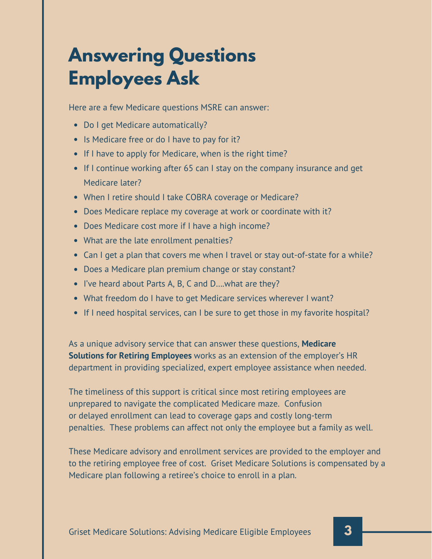# **Answering Questions Employees Ask**

Here are a few Medicare questions MSRE can answer:

- Do I get Medicare automatically?
- Is Medicare free or do I have to pay for it?
- If I have to apply for Medicare, when is the right time?
- If I continue working after 65 can I stay on the company insurance and get Medicare later?
- When I retire should I take COBRA coverage or Medicare?
- Does Medicare replace my coverage at work or coordinate with it?
- Does Medicare cost more if I have a high income?
- What are the late enrollment penalties?
- Can I get a plan that covers me when I travel or stay out-of-state for a while?
- Does a Medicare plan premium change or stay constant?
- I've heard about Parts A, B, C and D....what are they?
- What freedom do I have to get Medicare services wherever I want?
- If I need hospital services, can I be sure to get those in my favorite hospital?

As a unique advisory service that can answer these questions, **Medicare Solutions for Retiring Employees** works as an extension of the employer's HR department in providing specialized, expert employee assistance when needed.

The timeliness of this support is critical since most retiring employees are unprepared to navigate the complicated Medicare maze. Confusion or delayed enrollment can lead to coverage gaps and costly long-term penalties. These problems can affect not only the employee but a family as well.

These Medicare advisory and enrollment services are provided to the employer and to the retiring employee free of cost. Griset Medicare Solutions is compensated by a Medicare plan following a retiree's choice to enroll in a plan.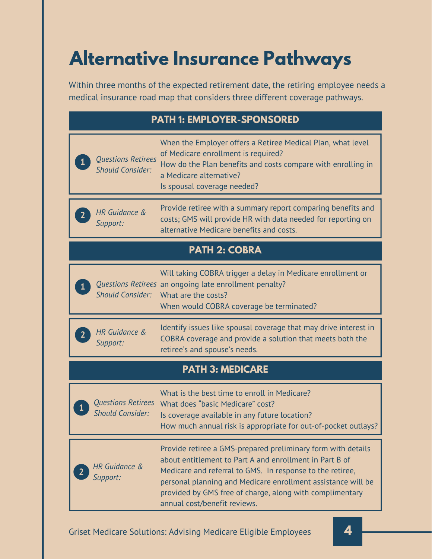# **Alternative Insurance Pathways**

Within three months of the expected retirement date, the retiring employee needs a medical insurance road map that considers three different coverage pathways.

| <b>PATH 1: EMPLOYER-SPONSORED</b>                    |                                                                                                                                                                                                                                                                                                                                                  |
|------------------------------------------------------|--------------------------------------------------------------------------------------------------------------------------------------------------------------------------------------------------------------------------------------------------------------------------------------------------------------------------------------------------|
| <b>Questions Retirees</b><br><b>Should Consider:</b> | When the Employer offers a Retiree Medical Plan, what level<br>of Medicare enrollment is required?<br>How do the Plan benefits and costs compare with enrolling in<br>a Medicare alternative?<br>Is spousal coverage needed?                                                                                                                     |
| HR Guidance &<br>Support:                            | Provide retiree with a summary report comparing benefits and<br>costs; GMS will provide HR with data needed for reporting on<br>alternative Medicare benefits and costs.                                                                                                                                                                         |
| <b>PATH 2: COBRA</b>                                 |                                                                                                                                                                                                                                                                                                                                                  |
| <b>Should Consider:</b>                              | Will taking COBRA trigger a delay in Medicare enrollment or<br>Questions Retirees an ongoing late enrollment penalty?<br>What are the costs?<br>When would COBRA coverage be terminated?                                                                                                                                                         |
| HR Guidance &<br>$2^{-}$<br>Support:                 | Identify issues like spousal coverage that may drive interest in<br>COBRA coverage and provide a solution that meets both the<br>retiree's and spouse's needs.                                                                                                                                                                                   |
| <b>PATH 3: MEDICARE</b>                              |                                                                                                                                                                                                                                                                                                                                                  |
| <b>Questions Retirees</b><br><b>Should Consider:</b> | What is the best time to enroll in Medicare?<br>What does "basic Medicare" cost?<br>Is coverage available in any future location?<br>How much annual risk is appropriate for out-of-pocket outlays?                                                                                                                                              |
| <b>HR</b> Guidance &<br>Support:                     | Provide retiree a GMS-prepared preliminary form with details<br>about entitlement to Part A and enrollment in Part B of<br>Medicare and referral to GMS. In response to the retiree,<br>personal planning and Medicare enrollment assistance will be<br>provided by GMS free of charge, along with complimentary<br>annual cost/benefit reviews. |